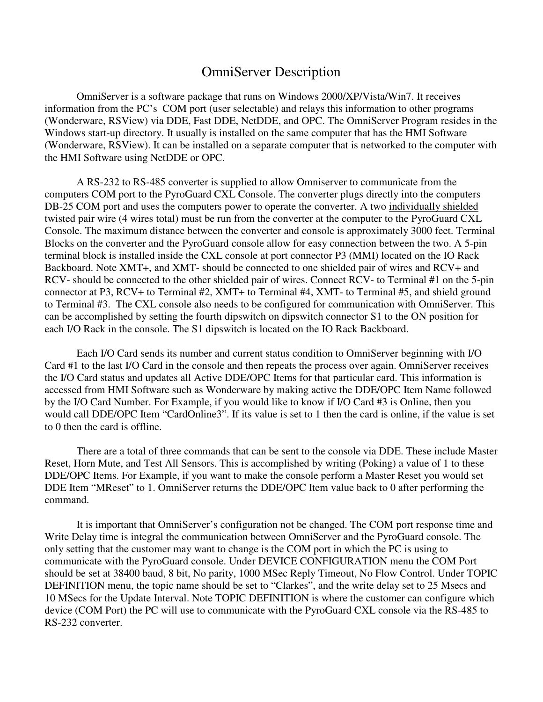## OmniServer Description

 OmniServer is a software package that runs on Windows 2000/XP/Vista/Win7. It receives information from the PC's COM port (user selectable) and relays this information to other programs (Wonderware, RSView) via DDE, Fast DDE, NetDDE, and OPC. The OmniServer Program resides in the Windows start-up directory. It usually is installed on the same computer that has the HMI Software (Wonderware, RSView). It can be installed on a separate computer that is networked to the computer with the HMI Software using NetDDE or OPC.

 A RS-232 to RS-485 converter is supplied to allow Omniserver to communicate from the computers COM port to the PyroGuard CXL Console. The converter plugs directly into the computers DB-25 COM port and uses the computers power to operate the converter. A two individually shielded twisted pair wire (4 wires total) must be run from the converter at the computer to the PyroGuard CXL Console. The maximum distance between the converter and console is approximately 3000 feet. Terminal Blocks on the converter and the PyroGuard console allow for easy connection between the two. A 5-pin terminal block is installed inside the CXL console at port connector P3 (MMI) located on the IO Rack Backboard. Note XMT+, and XMT- should be connected to one shielded pair of wires and RCV+ and RCV- should be connected to the other shielded pair of wires. Connect RCV- to Terminal #1 on the 5-pin connector at P3, RCV+ to Terminal #2, XMT+ to Terminal #4, XMT- to Terminal #5, and shield ground to Terminal #3. The CXL console also needs to be configured for communication with OmniServer. This can be accomplished by setting the fourth dipswitch on dipswitch connector S1 to the ON position for each I/O Rack in the console. The S1 dipswitch is located on the IO Rack Backboard.

 Each I/O Card sends its number and current status condition to OmniServer beginning with I/O Card #1 to the last I/O Card in the console and then repeats the process over again. OmniServer receives the I/O Card status and updates all Active DDE/OPC Items for that particular card. This information is accessed from HMI Software such as Wonderware by making active the DDE/OPC Item Name followed by the I/O Card Number. For Example, if you would like to know if I/O Card #3 is Online, then you would call DDE/OPC Item "CardOnline3". If its value is set to 1 then the card is online, if the value is set to 0 then the card is offline.

 There are a total of three commands that can be sent to the console via DDE. These include Master Reset, Horn Mute, and Test All Sensors. This is accomplished by writing (Poking) a value of 1 to these DDE/OPC Items. For Example, if you want to make the console perform a Master Reset you would set DDE Item "MReset" to 1. OmniServer returns the DDE/OPC Item value back to 0 after performing the command.

 It is important that OmniServer's configuration not be changed. The COM port response time and Write Delay time is integral the communication between OmniServer and the PyroGuard console. The only setting that the customer may want to change is the COM port in which the PC is using to communicate with the PyroGuard console. Under DEVICE CONFIGURATION menu the COM Port should be set at 38400 baud, 8 bit, No parity, 1000 MSec Reply Timeout, No Flow Control. Under TOPIC DEFINITION menu, the topic name should be set to "Clarkes", and the write delay set to 25 Msecs and 10 MSecs for the Update Interval. Note TOPIC DEFINITION is where the customer can configure which device (COM Port) the PC will use to communicate with the PyroGuard CXL console via the RS-485 to RS-232 converter.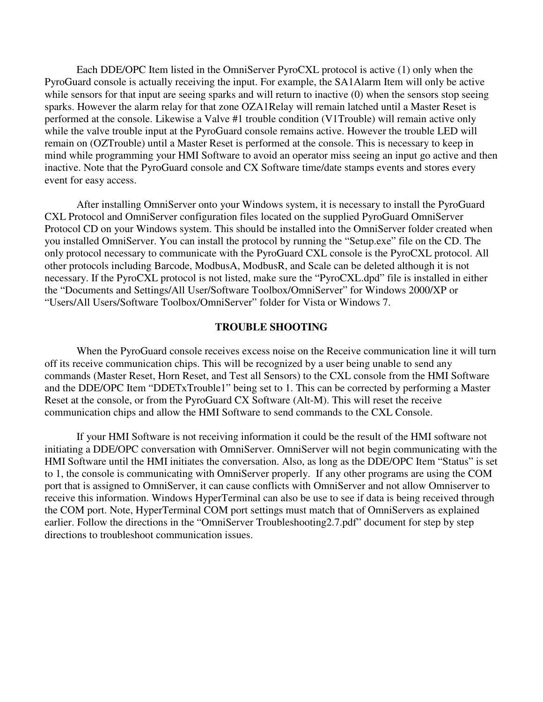Each DDE/OPC Item listed in the OmniServer PyroCXL protocol is active (1) only when the PyroGuard console is actually receiving the input. For example, the SA1Alarm Item will only be active while sensors for that input are seeing sparks and will return to inactive (0) when the sensors stop seeing sparks. However the alarm relay for that zone OZA1Relay will remain latched until a Master Reset is performed at the console. Likewise a Valve #1 trouble condition (V1Trouble) will remain active only while the valve trouble input at the PyroGuard console remains active. However the trouble LED will remain on (OZTrouble) until a Master Reset is performed at the console. This is necessary to keep in mind while programming your HMI Software to avoid an operator miss seeing an input go active and then inactive. Note that the PyroGuard console and CX Software time/date stamps events and stores every event for easy access.

 After installing OmniServer onto your Windows system, it is necessary to install the PyroGuard CXL Protocol and OmniServer configuration files located on the supplied PyroGuard OmniServer Protocol CD on your Windows system. This should be installed into the OmniServer folder created when you installed OmniServer. You can install the protocol by running the "Setup.exe" file on the CD. The only protocol necessary to communicate with the PyroGuard CXL console is the PyroCXL protocol. All other protocols including Barcode, ModbusA, ModbusR, and Scale can be deleted although it is not necessary. If the PyroCXL protocol is not listed, make sure the "PyroCXL.dpd" file is installed in either the "Documents and Settings/All User/Software Toolbox/OmniServer" for Windows 2000/XP or "Users/All Users/Software Toolbox/OmniServer" folder for Vista or Windows 7.

## **TROUBLE SHOOTING**

When the PyroGuard console receives excess noise on the Receive communication line it will turn off its receive communication chips. This will be recognized by a user being unable to send any commands (Master Reset, Horn Reset, and Test all Sensors) to the CXL console from the HMI Software and the DDE/OPC Item "DDETxTrouble1" being set to 1. This can be corrected by performing a Master Reset at the console, or from the PyroGuard CX Software (Alt-M). This will reset the receive communication chips and allow the HMI Software to send commands to the CXL Console.

 If your HMI Software is not receiving information it could be the result of the HMI software not initiating a DDE/OPC conversation with OmniServer. OmniServer will not begin communicating with the HMI Software until the HMI initiates the conversation. Also, as long as the DDE/OPC Item "Status" is set to 1, the console is communicating with OmniServer properly. If any other programs are using the COM port that is assigned to OmniServer, it can cause conflicts with OmniServer and not allow Omniserver to receive this information. Windows HyperTerminal can also be use to see if data is being received through the COM port. Note, HyperTerminal COM port settings must match that of OmniServers as explained earlier. Follow the directions in the "OmniServer Troubleshooting2.7.pdf" document for step by step directions to troubleshoot communication issues.